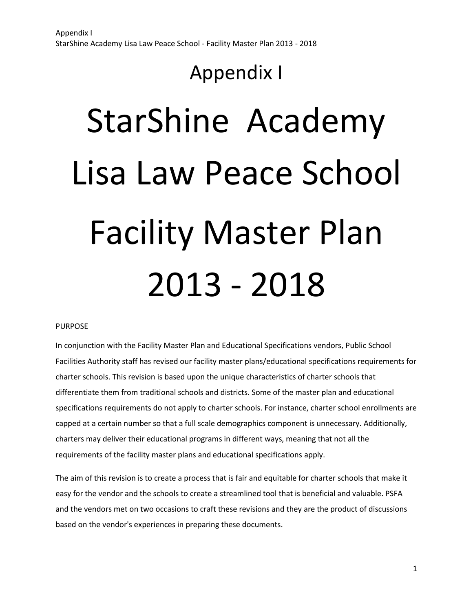# StarShine Academy Lisa Law Peace School Facility Master Plan 2013 - 2018

# PURPOSE

In conjunction with the Facility Master Plan and Educational Specifications vendors, Public School Facilities Authority staff has revised our facility master plans/educational specifications requirements for charter schools. This revision is based upon the unique characteristics of charter schools that differentiate them from traditional schools and districts. Some of the master plan and educational specifications requirements do not apply to charter schools. For instance, charter school enrollments are capped at a certain number so that a full scale demographics component is unnecessary. Additionally, charters may deliver their educational programs in different ways, meaning that not all the requirements of the facility master plans and educational specifications apply.

The aim of this revision is to create a process that is fair and equitable for charter schools that make it easy for the vendor and the schools to create a streamlined tool that is beneficial and valuable. PSFA and the vendors met on two occasions to craft these revisions and they are the product of discussions based on the vendor's experiences in preparing these documents.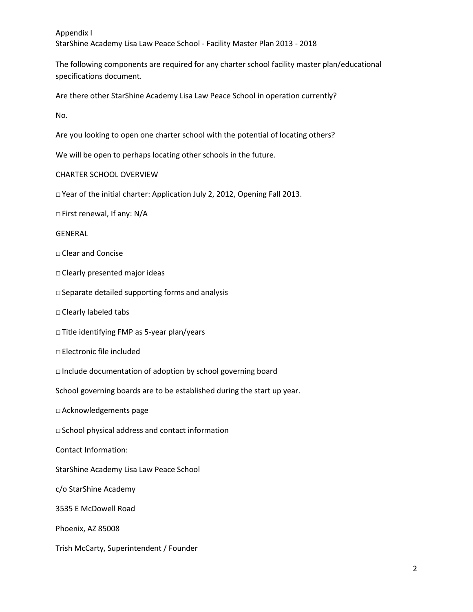The following components are required for any charter school facility master plan/educational specifications document.

Are there other StarShine Academy Lisa Law Peace School in operation currently?

No.

Are you looking to open one charter school with the potential of locating others?

We will be open to perhaps locating other schools in the future.

# CHARTER SCHOOL OVERVIEW

□ Year of the initial charter: Application July 2, 2012, Opening Fall 2013.

□ First renewal, If any: N/A

#### GENERAL

- □ Clear and Concise
- □ Clearly presented major ideas
- □ Separate detailed supporting forms and analysis
- □ Clearly labeled tabs
- □ Title identifying FMP as 5-year plan/years
- □ Electronic file included
- □ Include documentation of adoption by school governing board
- School governing boards are to be established during the start up year.
- □ Acknowledgements page
- □ School physical address and contact information
- Contact Information:
- StarShine Academy Lisa Law Peace School
- c/o StarShine Academy
- 3535 E McDowell Road
- Phoenix, AZ 85008
- Trish McCarty, Superintendent / Founder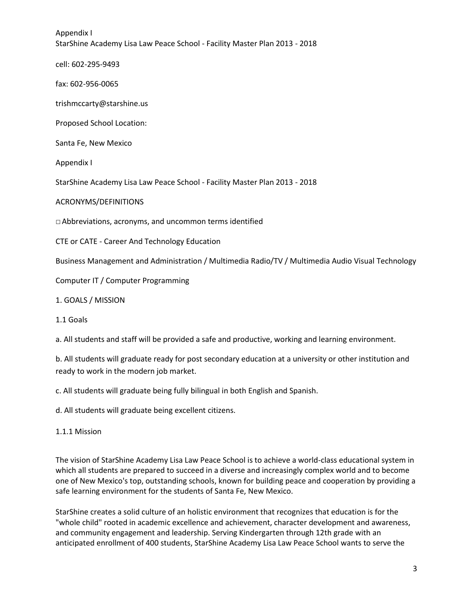cell: 602-295-9493

fax: 602-956-0065

trishmccarty@starshine.us

Proposed School Location:

Santa Fe, New Mexico

Appendix I

StarShine Academy Lisa Law Peace School - Facility Master Plan 2013 - 2018

ACRONYMS/DEFINITIONS

□ Abbreviations, acronyms, and uncommon terms identified

CTE or CATE - Career And Technology Education

Business Management and Administration / Multimedia Radio/TV / Multimedia Audio Visual Technology

Computer IT / Computer Programming

1. GOALS / MISSION

1.1 Goals

a. All students and staff will be provided a safe and productive, working and learning environment.

b. All students will graduate ready for post secondary education at a university or other institution and ready to work in the modern job market.

c. All students will graduate being fully bilingual in both English and Spanish.

d. All students will graduate being excellent citizens.

1.1.1 Mission

The vision of StarShine Academy Lisa Law Peace School is to achieve a world-class educational system in which all students are prepared to succeed in a diverse and increasingly complex world and to become one of New Mexico's top, outstanding schools, known for building peace and cooperation by providing a safe learning environment for the students of Santa Fe, New Mexico.

StarShine creates a solid culture of an holistic environment that recognizes that education is for the "whole child" rooted in academic excellence and achievement, character development and awareness, and community engagement and leadership. Serving Kindergarten through 12th grade with an anticipated enrollment of 400 students, StarShine Academy Lisa Law Peace School wants to serve the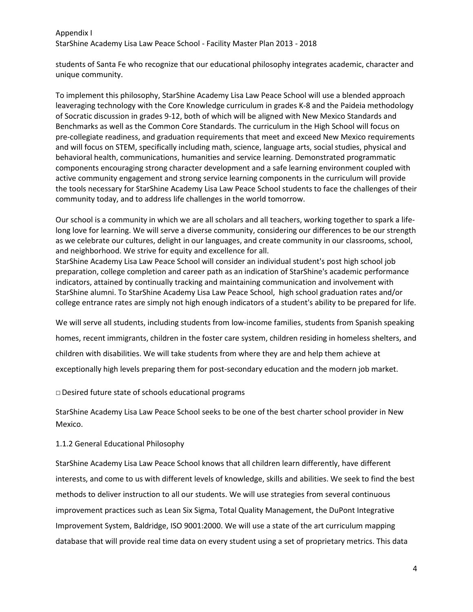students of Santa Fe who recognize that our educational philosophy integrates academic, character and unique community.

To implement this philosophy, StarShine Academy Lisa Law Peace School will use a blended approach leaveraging technology with the Core Knowledge curriculum in grades K‐8 and the Paideia methodology of Socratic discussion in grades 9‐12, both of which will be aligned with New Mexico Standards and Benchmarks as well as the Common Core Standards. The curriculum in the High School will focus on pre‐collegiate readiness, and graduation requirements that meet and exceed New Mexico requirements and will focus on STEM, specifically including math, science, language arts, social studies, physical and behavioral health, communications, humanities and service learning. Demonstrated programmatic components encouraging strong character development and a safe learning environment coupled with active community engagement and strong service learning components in the curriculum will provide the tools necessary for StarShine Academy Lisa Law Peace School students to face the challenges of their community today, and to address life challenges in the world tomorrow.

Our school is a community in which we are all scholars and all teachers, working together to spark a lifelong love for learning. We will serve a diverse community, considering our differences to be our strength as we celebrate our cultures, delight in our languages, and create community in our classrooms, school, and neighborhood. We strive for equity and excellence for all.

StarShine Academy Lisa Law Peace School will consider an individual student's post high school job preparation, college completion and career path as an indication of StarShine's academic performance indicators, attained by continually tracking and maintaining communication and involvement with StarShine alumni. To StarShine Academy Lisa Law Peace School, high school graduation rates and/or college entrance rates are simply not high enough indicators of a student's ability to be prepared for life.

We will serve all students, including students from low-income families, students from Spanish speaking homes, recent immigrants, children in the foster care system, children residing in homeless shelters, and children with disabilities. We will take students from where they are and help them achieve at exceptionally high levels preparing them for post-secondary education and the modern job market.

□ Desired future state of schools educational programs

StarShine Academy Lisa Law Peace School seeks to be one of the best charter school provider in New Mexico.

# 1.1.2 General Educational Philosophy

StarShine Academy Lisa Law Peace School knows that all children learn differently, have different interests, and come to us with different levels of knowledge, skills and abilities. We seek to find the best methods to deliver instruction to all our students. We will use strategies from several continuous improvement practices such as Lean Six Sigma, Total Quality Management, the DuPont Integrative Improvement System, Baldridge, ISO 9001:2000. We will use a state of the art curriculum mapping database that will provide real time data on every student using a set of proprietary metrics. This data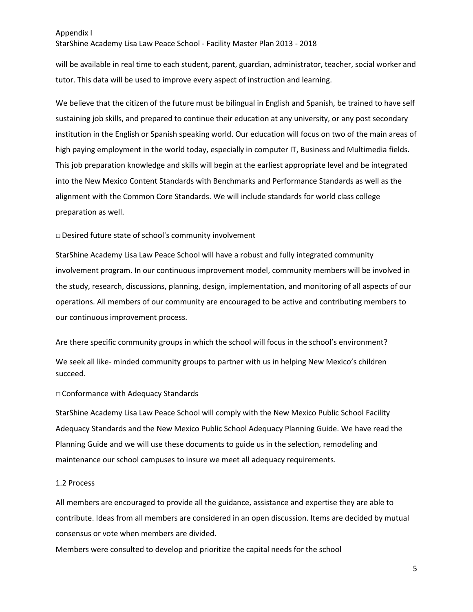StarShine Academy Lisa Law Peace School - Facility Master Plan 2013 - 2018

will be available in real time to each student, parent, guardian, administrator, teacher, social worker and tutor. This data will be used to improve every aspect of instruction and learning.

We believe that the citizen of the future must be bilingual in English and Spanish, be trained to have self sustaining job skills, and prepared to continue their education at any university, or any post secondary institution in the English or Spanish speaking world. Our education will focus on two of the main areas of high paying employment in the world today, especially in computer IT, Business and Multimedia fields. This job preparation knowledge and skills will begin at the earliest appropriate level and be integrated into the New Mexico Content Standards with Benchmarks and Performance Standards as well as the alignment with the Common Core Standards. We will include standards for world class college preparation as well.

#### □ Desired future state of school's community involvement

StarShine Academy Lisa Law Peace School will have a robust and fully integrated community involvement program. In our continuous improvement model, community members will be involved in the study, research, discussions, planning, design, implementation, and monitoring of all aspects of our operations. All members of our community are encouraged to be active and contributing members to our continuous improvement process.

Are there specific community groups in which the school will focus in the school's environment? We seek all like- minded community groups to partner with us in helping New Mexico's children succeed.

#### □ Conformance with Adequacy Standards

StarShine Academy Lisa Law Peace School will comply with the New Mexico Public School Facility Adequacy Standards and the New Mexico Public School Adequacy Planning Guide. We have read the Planning Guide and we will use these documents to guide us in the selection, remodeling and maintenance our school campuses to insure we meet all adequacy requirements.

#### 1.2 Process

All members are encouraged to provide all the guidance, assistance and expertise they are able to contribute. Ideas from all members are considered in an open discussion. Items are decided by mutual consensus or vote when members are divided.

Members were consulted to develop and prioritize the capital needs for the school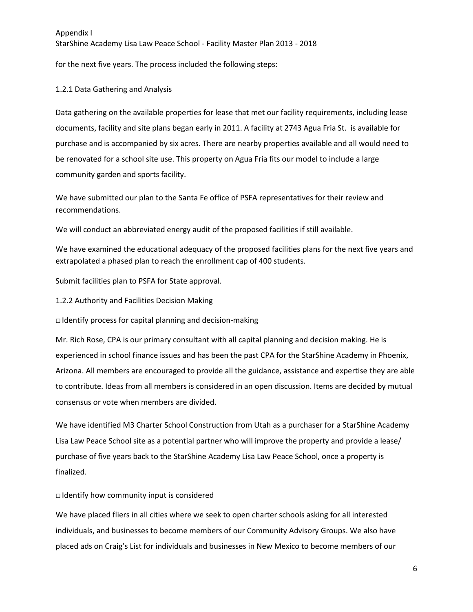for the next five years. The process included the following steps:

# 1.2.1 Data Gathering and Analysis

Data gathering on the available properties for lease that met our facility requirements, including lease documents, facility and site plans began early in 2011. A facility at 2743 Agua Fria St. is available for purchase and is accompanied by six acres. There are nearby properties available and all would need to be renovated for a school site use. This property on Agua Fria fits our model to include a large community garden and sports facility.

We have submitted our plan to the Santa Fe office of PSFA representatives for their review and recommendations.

We will conduct an abbreviated energy audit of the proposed facilities if still available.

We have examined the educational adequacy of the proposed facilities plans for the next five years and extrapolated a phased plan to reach the enrollment cap of 400 students.

Submit facilities plan to PSFA for State approval.

1.2.2 Authority and Facilities Decision Making

 $\Box$  Identify process for capital planning and decision-making

Mr. Rich Rose, CPA is our primary consultant with all capital planning and decision making. He is experienced in school finance issues and has been the past CPA for the StarShine Academy in Phoenix, Arizona. All members are encouraged to provide all the guidance, assistance and expertise they are able to contribute. Ideas from all members is considered in an open discussion. Items are decided by mutual consensus or vote when members are divided.

We have identified M3 Charter School Construction from Utah as a purchaser for a StarShine Academy Lisa Law Peace School site as a potential partner who will improve the property and provide a lease/ purchase of five years back to the StarShine Academy Lisa Law Peace School, once a property is finalized.

# $\Box$  Identify how community input is considered

We have placed fliers in all cities where we seek to open charter schools asking for all interested individuals, and businesses to become members of our Community Advisory Groups. We also have placed ads on Craig's List for individuals and businesses in New Mexico to become members of our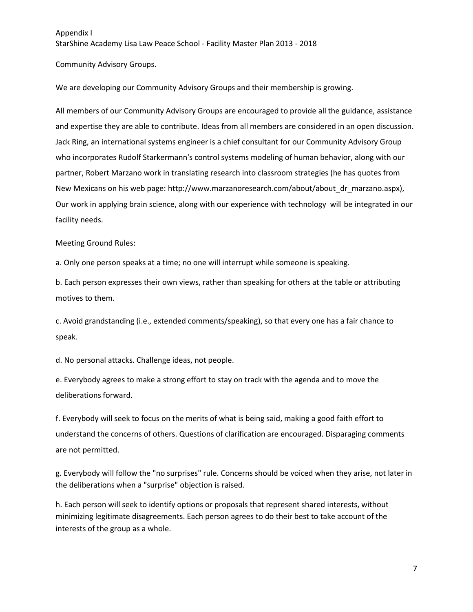Community Advisory Groups.

We are developing our Community Advisory Groups and their membership is growing.

All members of our Community Advisory Groups are encouraged to provide all the guidance, assistance and expertise they are able to contribute. Ideas from all members are considered in an open discussion. Jack Ring, an international systems engineer is a chief consultant for our Community Advisory Group who incorporates Rudolf Starkermann's control systems modeling of human behavior, along with our partner, Robert Marzano work in translating research into classroom strategies (he has quotes from New Mexicans on his web page: http://www.marzanoresearch.com/about/about\_dr\_marzano.aspx), Our work in applying brain science, along with our experience with technology will be integrated in our facility needs.

Meeting Ground Rules:

a. Only one person speaks at a time; no one will interrupt while someone is speaking.

b. Each person expresses their own views, rather than speaking for others at the table or attributing motives to them.

c. Avoid grandstanding (i.e., extended comments/speaking), so that every one has a fair chance to speak.

d. No personal attacks. Challenge ideas, not people.

e. Everybody agrees to make a strong effort to stay on track with the agenda and to move the deliberations forward.

f. Everybody will seek to focus on the merits of what is being said, making a good faith effort to understand the concerns of others. Questions of clarification are encouraged. Disparaging comments are not permitted.

g. Everybody will follow the "no surprises" rule. Concerns should be voiced when they arise, not later in the deliberations when a "surprise" objection is raised.

h. Each person will seek to identify options or proposals that represent shared interests, without minimizing legitimate disagreements. Each person agrees to do their best to take account of the interests of the group as a whole.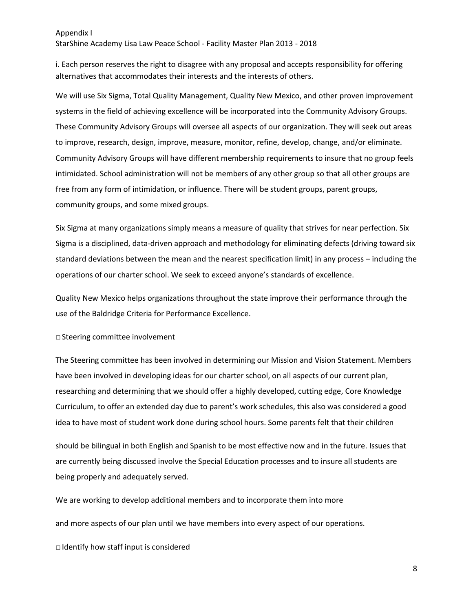StarShine Academy Lisa Law Peace School - Facility Master Plan 2013 - 2018

i. Each person reserves the right to disagree with any proposal and accepts responsibility for offering alternatives that accommodates their interests and the interests of others.

We will use Six Sigma, Total Quality Management, Quality New Mexico, and other proven improvement systems in the field of achieving excellence will be incorporated into the Community Advisory Groups. These Community Advisory Groups will oversee all aspects of our organization. They will seek out areas to improve, research, design, improve, measure, monitor, refine, develop, change, and/or eliminate. Community Advisory Groups will have different membership requirements to insure that no group feels intimidated. School administration will not be members of any other group so that all other groups are free from any form of intimidation, or influence. There will be student groups, parent groups, community groups, and some mixed groups.

Six Sigma at many organizations simply means a measure of quality that strives for near perfection. Six Sigma is a disciplined, data-driven approach and methodology for eliminating defects (driving toward six standard deviations between the mean and the nearest specification limit) in any process – including the operations of our charter school. We seek to exceed anyone's standards of excellence.

Quality New Mexico helps organizations throughout the state improve their performance through the use of the Baldridge Criteria for Performance Excellence.

□Steering committee involvement

The Steering committee has been involved in determining our Mission and Vision Statement. Members have been involved in developing ideas for our charter school, on all aspects of our current plan, researching and determining that we should offer a highly developed, cutting edge, Core Knowledge Curriculum, to offer an extended day due to parent's work schedules, this also was considered a good idea to have most of student work done during school hours. Some parents felt that their children

should be bilingual in both English and Spanish to be most effective now and in the future. Issues that are currently being discussed involve the Special Education processes and to insure all students are being properly and adequately served.

We are working to develop additional members and to incorporate them into more

and more aspects of our plan until we have members into every aspect of our operations.

 $\Box$  Identify how staff input is considered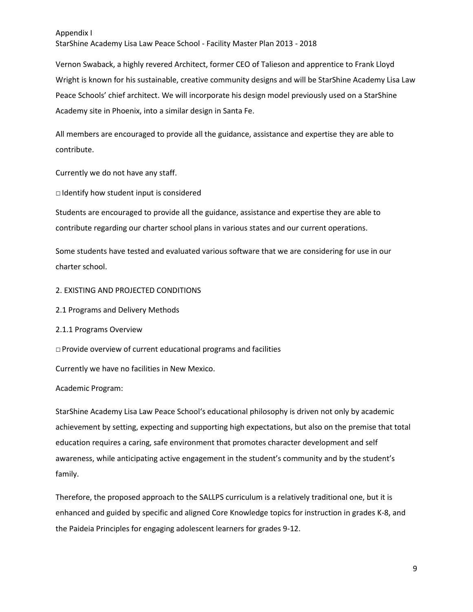StarShine Academy Lisa Law Peace School - Facility Master Plan 2013 - 2018

Vernon Swaback, a highly revered Architect, former CEO of Talieson and apprentice to Frank Lloyd Wright is known for his sustainable, creative community designs and will be StarShine Academy Lisa Law Peace Schools' chief architect. We will incorporate his design model previously used on a StarShine Academy site in Phoenix, into a similar design in Santa Fe.

All members are encouraged to provide all the guidance, assistance and expertise they are able to contribute.

Currently we do not have any staff.

□ Identify how student input is considered

Students are encouraged to provide all the guidance, assistance and expertise they are able to contribute regarding our charter school plans in various states and our current operations.

Some students have tested and evaluated various software that we are considering for use in our charter school.

- 2. EXISTING AND PROJECTED CONDITIONS
- 2.1 Programs and Delivery Methods
- 2.1.1 Programs Overview
- $\Box$  Provide overview of current educational programs and facilities

Currently we have no facilities in New Mexico.

#### Academic Program:

StarShine Academy Lisa Law Peace School's educational philosophy is driven not only by academic achievement by setting, expecting and supporting high expectations, but also on the premise that total education requires a caring, safe environment that promotes character development and self awareness, while anticipating active engagement in the student's community and by the student's family.

Therefore, the proposed approach to the SALLPS curriculum is a relatively traditional one, but it is enhanced and guided by specific and aligned Core Knowledge topics for instruction in grades K-8, and the Paideia Principles for engaging adolescent learners for grades 9-12.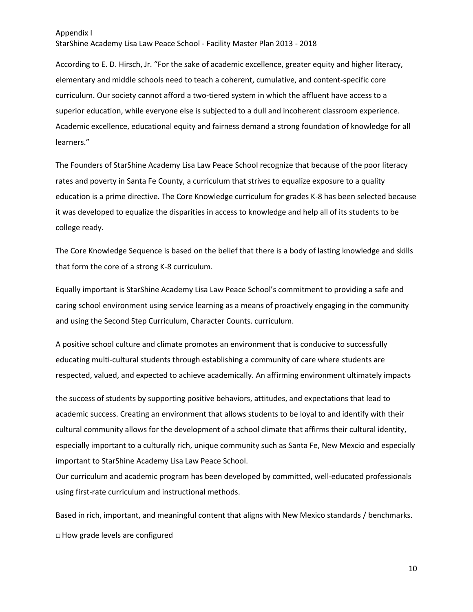StarShine Academy Lisa Law Peace School - Facility Master Plan 2013 - 2018

According to E. D. Hirsch, Jr. "For the sake of academic excellence, greater equity and higher literacy, elementary and middle schools need to teach a coherent, cumulative, and content-specific core curriculum. Our society cannot afford a two-tiered system in which the affluent have access to a superior education, while everyone else is subjected to a dull and incoherent classroom experience. Academic excellence, educational equity and fairness demand a strong foundation of knowledge for all learners."

The Founders of StarShine Academy Lisa Law Peace School recognize that because of the poor literacy rates and poverty in Santa Fe County, a curriculum that strives to equalize exposure to a quality education is a prime directive. The Core Knowledge curriculum for grades K-8 has been selected because it was developed to equalize the disparities in access to knowledge and help all of its students to be college ready.

The Core Knowledge Sequence is based on the belief that there is a body of lasting knowledge and skills that form the core of a strong K-8 curriculum.

Equally important is StarShine Academy Lisa Law Peace School's commitment to providing a safe and caring school environment using service learning as a means of proactively engaging in the community and using the Second Step Curriculum, Character Counts. curriculum.

A positive school culture and climate promotes an environment that is conducive to successfully educating multi-cultural students through establishing a community of care where students are respected, valued, and expected to achieve academically. An affirming environment ultimately impacts

the success of students by supporting positive behaviors, attitudes, and expectations that lead to academic success. Creating an environment that allows students to be loyal to and identify with their cultural community allows for the development of a school climate that affirms their cultural identity, especially important to a culturally rich, unique community such as Santa Fe, New Mexcio and especially important to StarShine Academy Lisa Law Peace School.

Our curriculum and academic program has been developed by committed, well-educated professionals using first-rate curriculum and instructional methods.

Based in rich, important, and meaningful content that aligns with New Mexico standards / benchmarks. □ How grade levels are configured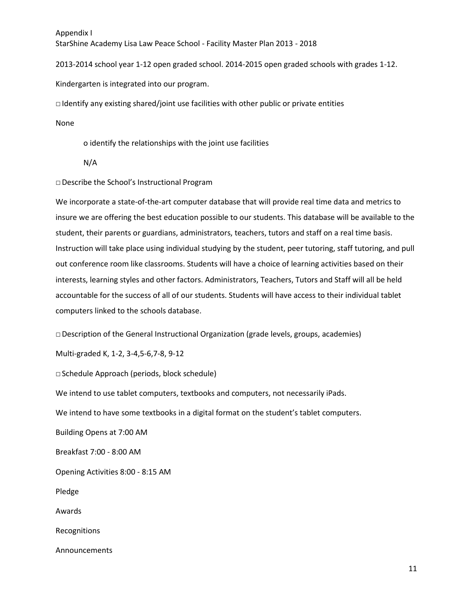StarShine Academy Lisa Law Peace School - Facility Master Plan 2013 - 2018

2013-2014 school year 1-12 open graded school. 2014-2015 open graded schools with grades 1-12.

Kindergarten is integrated into our program.

 $\Box$  Identify any existing shared/joint use facilities with other public or private entities

None

o identify the relationships with the joint use facilities

N/A

□ Describe the School's Instructional Program

We incorporate a state-of-the-art computer database that will provide real time data and metrics to insure we are offering the best education possible to our students. This database will be available to the student, their parents or guardians, administrators, teachers, tutors and staff on a real time basis. Instruction will take place using individual studying by the student, peer tutoring, staff tutoring, and pull out conference room like classrooms. Students will have a choice of learning activities based on their interests, learning styles and other factors. Administrators, Teachers, Tutors and Staff will all be held accountable for the success of all of our students. Students will have access to their individual tablet computers linked to the schools database.

 $\Box$  Description of the General Instructional Organization (grade levels, groups, academies)

Multi-graded K, 1-2, 3-4,5-6,7-8, 9-12

□ Schedule Approach (periods, block schedule)

We intend to use tablet computers, textbooks and computers, not necessarily iPads.

We intend to have some textbooks in a digital format on the student's tablet computers.

Building Opens at 7:00 AM

Breakfast 7:00 - 8:00 AM

Opening Activities 8:00 - 8:15 AM

Pledge

Awards

Recognitions

Announcements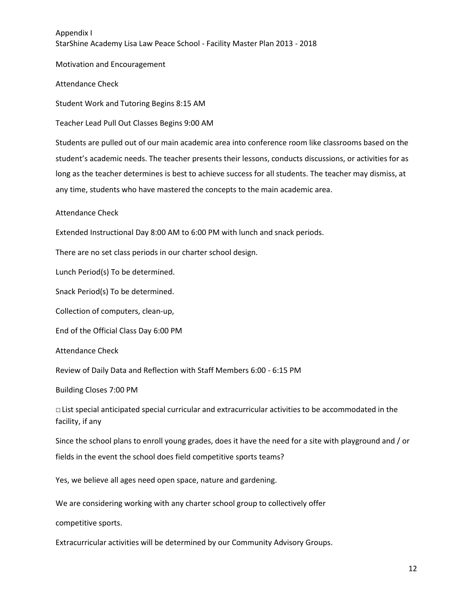Motivation and Encouragement

Attendance Check

Student Work and Tutoring Begins 8:15 AM

Teacher Lead Pull Out Classes Begins 9:00 AM

Students are pulled out of our main academic area into conference room like classrooms based on the student's academic needs. The teacher presents their lessons, conducts discussions, or activities for as long as the teacher determines is best to achieve success for all students. The teacher may dismiss, at any time, students who have mastered the concepts to the main academic area.

Attendance Check

Extended Instructional Day 8:00 AM to 6:00 PM with lunch and snack periods.

There are no set class periods in our charter school design.

Lunch Period(s) To be determined.

Snack Period(s) To be determined.

Collection of computers, clean-up,

End of the Official Class Day 6:00 PM

Attendance Check

Review of Daily Data and Reflection with Staff Members 6:00 - 6:15 PM

Building Closes 7:00 PM

□ List special anticipated special curricular and extracurricular activities to be accommodated in the facility, if any

Since the school plans to enroll young grades, does it have the need for a site with playground and / or fields in the event the school does field competitive sports teams?

Yes, we believe all ages need open space, nature and gardening.

We are considering working with any charter school group to collectively offer

competitive sports.

Extracurricular activities will be determined by our Community Advisory Groups.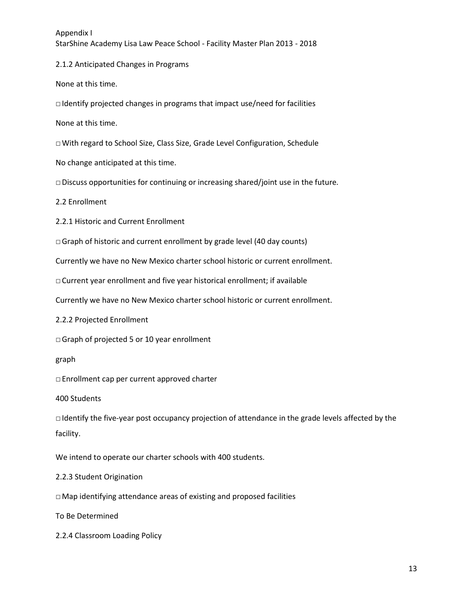StarShine Academy Lisa Law Peace School - Facility Master Plan 2013 - 2018

2.1.2 Anticipated Changes in Programs

None at this time.

 $\Box$  Identify projected changes in programs that impact use/need for facilities

None at this time.

□ With regard to School Size, Class Size, Grade Level Configuration, Schedule

No change anticipated at this time.

 $\square$  Discuss opportunities for continuing or increasing shared/joint use in the future.

2.2 Enrollment

2.2.1 Historic and Current Enrollment

 $\Box$  Graph of historic and current enrollment by grade level (40 day counts)

Currently we have no New Mexico charter school historic or current enrollment.

□ Current year enrollment and five year historical enrollment; if available

Currently we have no New Mexico charter school historic or current enrollment.

2.2.2 Projected Enrollment

□ Graph of projected 5 or 10 year enrollment

graph

□ Enrollment cap per current approved charter

400 Students

□ Identify the five-year post occupancy projection of attendance in the grade levels affected by the facility.

We intend to operate our charter schools with 400 students.

2.2.3 Student Origination

 $\Box$  Map identifying attendance areas of existing and proposed facilities

To Be Determined

2.2.4 Classroom Loading Policy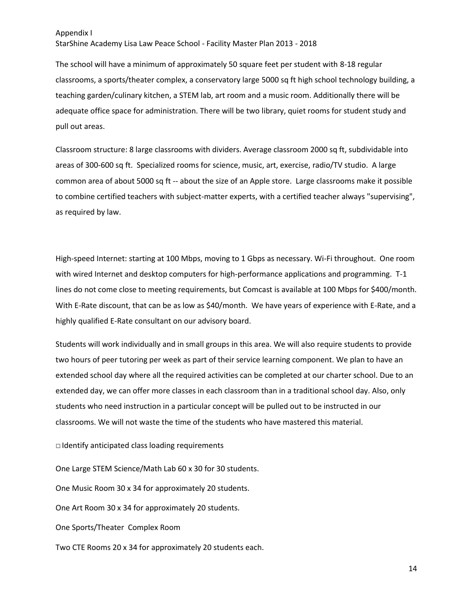StarShine Academy Lisa Law Peace School - Facility Master Plan 2013 - 2018

The school will have a minimum of approximately 50 square feet per student with 8-18 regular classrooms, a sports/theater complex, a conservatory large 5000 sq ft high school technology building, a teaching garden/culinary kitchen, a STEM lab, art room and a music room. Additionally there will be adequate office space for administration. There will be two library, quiet rooms for student study and pull out areas.

Classroom structure: 8 large classrooms with dividers. Average classroom 2000 sq ft, subdividable into areas of 300-600 sq ft. Specialized rooms for science, music, art, exercise, radio/TV studio. A large common area of about 5000 sq ft -- about the size of an Apple store. Large classrooms make it possible to combine certified teachers with subject-matter experts, with a certified teacher always "supervising", as required by law.

High-speed Internet: starting at 100 Mbps, moving to 1 Gbps as necessary. Wi-Fi throughout. One room with wired Internet and desktop computers for high-performance applications and programming. T-1 lines do not come close to meeting requirements, but Comcast is available at 100 Mbps for \$400/month. With E-Rate discount, that can be as low as \$40/month. We have years of experience with E-Rate, and a highly qualified E-Rate consultant on our advisory board.

Students will work individually and in small groups in this area. We will also require students to provide two hours of peer tutoring per week as part of their service learning component. We plan to have an extended school day where all the required activities can be completed at our charter school. Due to an extended day, we can offer more classes in each classroom than in a traditional school day. Also, only students who need instruction in a particular concept will be pulled out to be instructed in our classrooms. We will not waste the time of the students who have mastered this material.

□ Identify anticipated class loading requirements

One Large STEM Science/Math Lab 60 x 30 for 30 students.

One Music Room 30 x 34 for approximately 20 students.

One Art Room 30 x 34 for approximately 20 students.

One Sports/Theater Complex Room

Two CTE Rooms 20 x 34 for approximately 20 students each.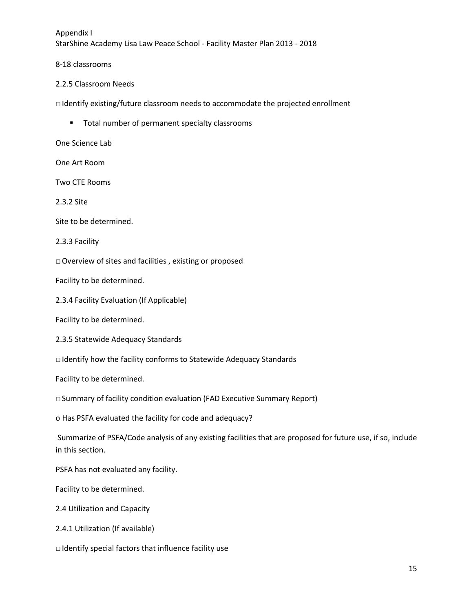8-18 classrooms

### 2.2.5 Classroom Needs

□ Identify existing/future classroom needs to accommodate the projected enrollment

**Total number of permanent specialty classrooms** 

One Science Lab

One Art Room

Two CTE Rooms

2.3.2 Site

Site to be determined.

2.3.3 Facility

□ Overview of sites and facilities , existing or proposed

Facility to be determined.

2.3.4 Facility Evaluation (If Applicable)

Facility to be determined.

2.3.5 Statewide Adequacy Standards

□ Identify how the facility conforms to Statewide Adequacy Standards

Facility to be determined.

□ Summary of facility condition evaluation (FAD Executive Summary Report)

o Has PSFA evaluated the facility for code and adequacy?

Summarize of PSFA/Code analysis of any existing facilities that are proposed for future use, if so, include in this section.

PSFA has not evaluated any facility.

Facility to be determined.

2.4 Utilization and Capacity

2.4.1 Utilization (If available)

□ Identify special factors that influence facility use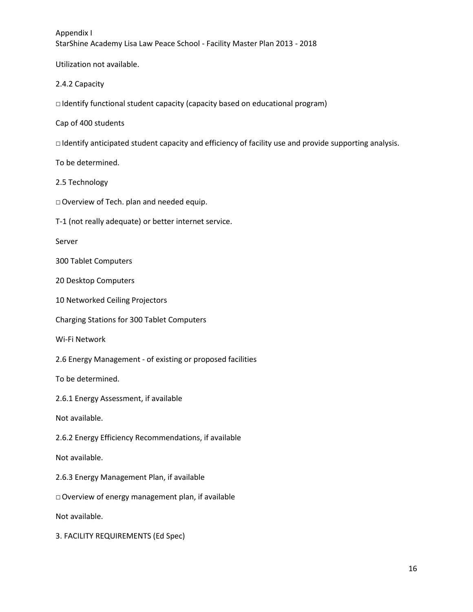Utilization not available.

2.4.2 Capacity

 $\Box$  Identify functional student capacity (capacity based on educational program)

Cap of 400 students

□ Identify anticipated student capacity and efficiency of facility use and provide supporting analysis.

To be determined.

- 2.5 Technology
- □ Overview of Tech. plan and needed equip.
- T-1 (not really adequate) or better internet service.

Server

300 Tablet Computers

20 Desktop Computers

10 Networked Ceiling Projectors

Charging Stations for 300 Tablet Computers

Wi-Fi Network

2.6 Energy Management - of existing or proposed facilities

To be determined.

2.6.1 Energy Assessment, if available

Not available.

2.6.2 Energy Efficiency Recommendations, if available

Not available.

2.6.3 Energy Management Plan, if available

□ Overview of energy management plan, if available

Not available.

3. FACILITY REQUIREMENTS (Ed Spec)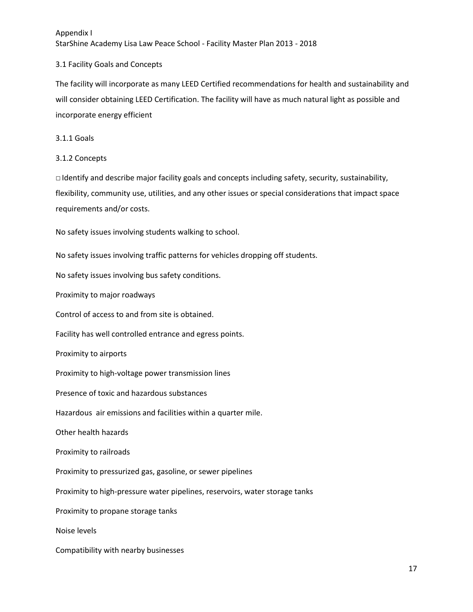# 3.1 Facility Goals and Concepts

The facility will incorporate as many LEED Certified recommendations for health and sustainability and will consider obtaining LEED Certification. The facility will have as much natural light as possible and incorporate energy efficient

# 3.1.1 Goals

# 3.1.2 Concepts

□ Identify and describe major facility goals and concepts including safety, security, sustainability, flexibility, community use, utilities, and any other issues or special considerations that impact space requirements and/or costs.

No safety issues involving students walking to school.

No safety issues involving traffic patterns for vehicles dropping off students.

No safety issues involving bus safety conditions.

Proximity to major roadways

Control of access to and from site is obtained.

Facility has well controlled entrance and egress points.

Proximity to airports

Proximity to high-voltage power transmission lines

Presence of toxic and hazardous substances

Hazardous air emissions and facilities within a quarter mile.

Other health hazards

Proximity to railroads

Proximity to pressurized gas, gasoline, or sewer pipelines

Proximity to high-pressure water pipelines, reservoirs, water storage tanks

Proximity to propane storage tanks

Noise levels

Compatibility with nearby businesses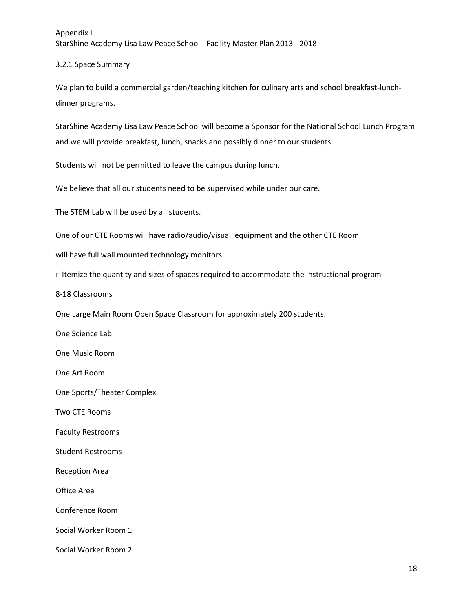# 3.2.1 Space Summary

We plan to build a commercial garden/teaching kitchen for culinary arts and school breakfast-lunchdinner programs.

StarShine Academy Lisa Law Peace School will become a Sponsor for the National School Lunch Program and we will provide breakfast, lunch, snacks and possibly dinner to our students.

Students will not be permitted to leave the campus during lunch.

We believe that all our students need to be supervised while under our care.

The STEM Lab will be used by all students.

One of our CTE Rooms will have radio/audio/visual equipment and the other CTE Room

will have full wall mounted technology monitors.

□ Itemize the quantity and sizes of spaces required to accommodate the instructional program

8-18 Classrooms

One Large Main Room Open Space Classroom for approximately 200 students.

One Science Lab

One Music Room

One Art Room

One Sports/Theater Complex

Two CTE Rooms

Faculty Restrooms

Student Restrooms

Reception Area

Office Area

Conference Room

Social Worker Room 1

Social Worker Room 2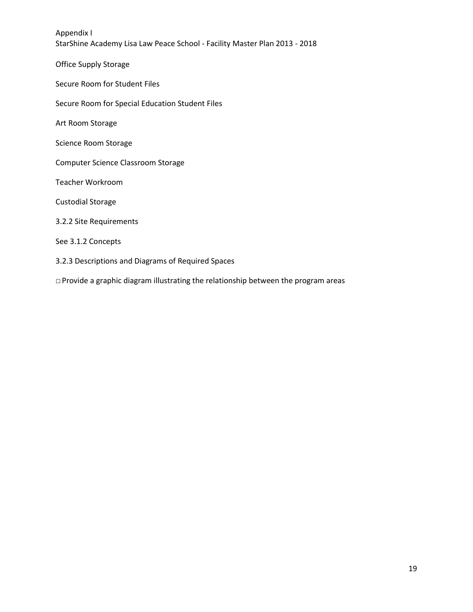Office Supply Storage

Secure Room for Student Files

Secure Room for Special Education Student Files

Art Room Storage

Science Room Storage

Computer Science Classroom Storage

Teacher Workroom

Custodial Storage

3.2.2 Site Requirements

See 3.1.2 Concepts

#### 3.2.3 Descriptions and Diagrams of Required Spaces

□ Provide a graphic diagram illustrating the relationship between the program areas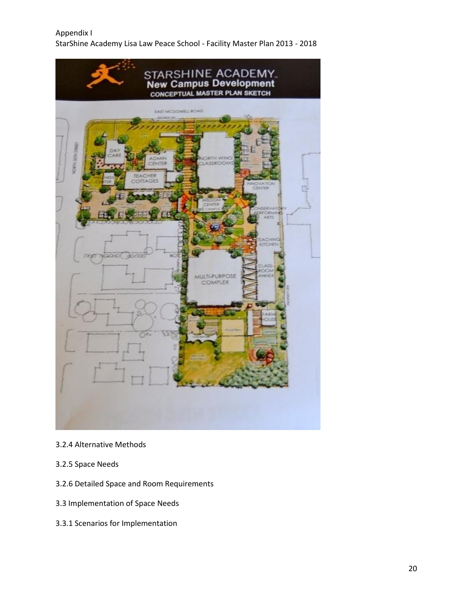

# 3.2.4 Alternative Methods

- 3.2.5 Space Needs
- 3.2.6 Detailed Space and Room Requirements
- 3.3 Implementation of Space Needs
- 3.3.1 Scenarios for Implementation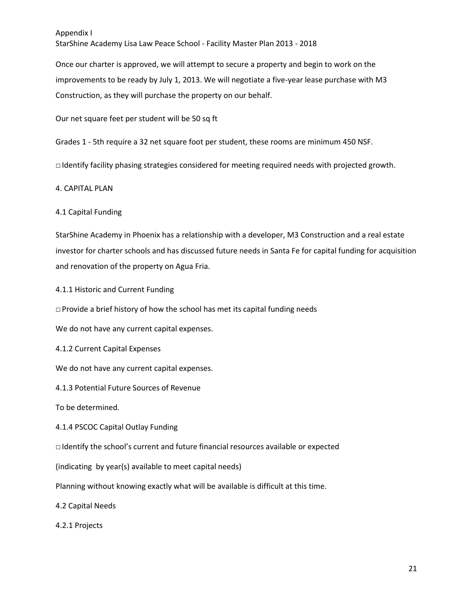StarShine Academy Lisa Law Peace School - Facility Master Plan 2013 - 2018

Once our charter is approved, we will attempt to secure a property and begin to work on the improvements to be ready by July 1, 2013. We will negotiate a five-year lease purchase with M3 Construction, as they will purchase the property on our behalf.

Our net square feet per student will be 50 sq ft

Grades 1 - 5th require a 32 net square foot per student, these rooms are minimum 450 NSF.

□ Identify facility phasing strategies considered for meeting required needs with projected growth.

#### 4. CAPITAL PLAN

#### 4.1 Capital Funding

StarShine Academy in Phoenix has a relationship with a developer, M3 Construction and a real estate investor for charter schools and has discussed future needs in Santa Fe for capital funding for acquisition and renovation of the property on Agua Fria.

4.1.1 Historic and Current Funding

 $\Box$  Provide a brief history of how the school has met its capital funding needs

We do not have any current capital expenses.

4.1.2 Current Capital Expenses

We do not have any current capital expenses.

4.1.3 Potential Future Sources of Revenue

To be determined.

4.1.4 PSCOC Capital Outlay Funding

 $\Box$  Identify the school's current and future financial resources available or expected

(indicating by year(s) available to meet capital needs)

Planning without knowing exactly what will be available is difficult at this time.

4.2 Capital Needs

4.2.1 Projects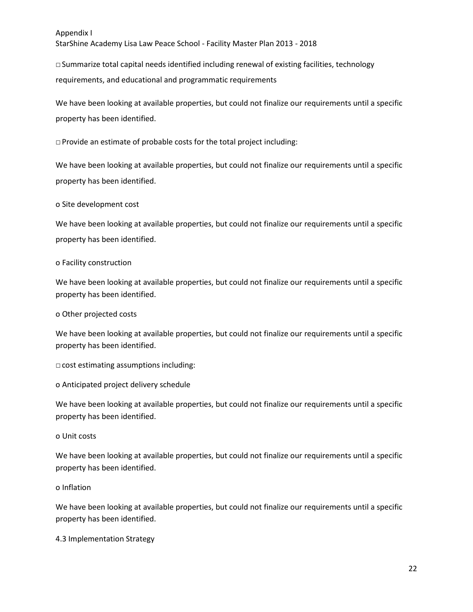StarShine Academy Lisa Law Peace School - Facility Master Plan 2013 - 2018

 $\Box$  Summarize total capital needs identified including renewal of existing facilities, technology requirements, and educational and programmatic requirements

We have been looking at available properties, but could not finalize our requirements until a specific property has been identified.

□ Provide an estimate of probable costs for the total project including:

We have been looking at available properties, but could not finalize our requirements until a specific property has been identified.

#### o Site development cost

We have been looking at available properties, but could not finalize our requirements until a specific property has been identified.

#### o Facility construction

We have been looking at available properties, but could not finalize our requirements until a specific property has been identified.

#### o Other projected costs

We have been looking at available properties, but could not finalize our requirements until a specific property has been identified.

□ cost estimating assumptions including:

o Anticipated project delivery schedule

We have been looking at available properties, but could not finalize our requirements until a specific property has been identified.

#### o Unit costs

We have been looking at available properties, but could not finalize our requirements until a specific property has been identified.

#### o Inflation

We have been looking at available properties, but could not finalize our requirements until a specific property has been identified.

4.3 Implementation Strategy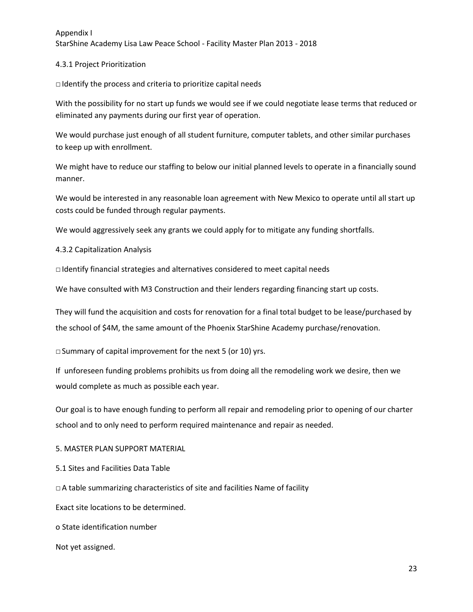### 4.3.1 Project Prioritization

□ Identify the process and criteria to prioritize capital needs

With the possibility for no start up funds we would see if we could negotiate lease terms that reduced or eliminated any payments during our first year of operation.

We would purchase just enough of all student furniture, computer tablets, and other similar purchases to keep up with enrollment.

We might have to reduce our staffing to below our initial planned levels to operate in a financially sound manner.

We would be interested in any reasonable loan agreement with New Mexico to operate until all start up costs could be funded through regular payments.

We would aggressively seek any grants we could apply for to mitigate any funding shortfalls.

4.3.2 Capitalization Analysis

□ Identify financial strategies and alternatives considered to meet capital needs

We have consulted with M3 Construction and their lenders regarding financing start up costs.

They will fund the acquisition and costs for renovation for a final total budget to be lease/purchased by the school of \$4M, the same amount of the Phoenix StarShine Academy purchase/renovation.

 $\Box$  Summary of capital improvement for the next 5 (or 10) yrs.

If unforeseen funding problems prohibits us from doing all the remodeling work we desire, then we would complete as much as possible each year.

Our goal is to have enough funding to perform all repair and remodeling prior to opening of our charter school and to only need to perform required maintenance and repair as needed.

5. MASTER PLAN SUPPORT MATERIAL

5.1 Sites and Facilities Data Table

□ A table summarizing characteristics of site and facilities Name of facility

Exact site locations to be determined.

o State identification number

Not yet assigned.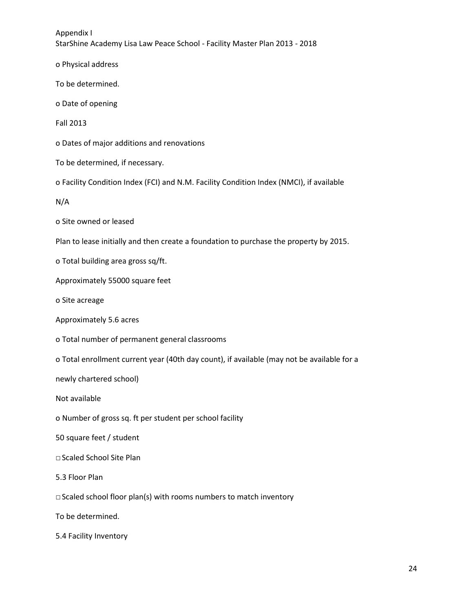o Physical address

To be determined.

o Date of opening

Fall 2013

o Dates of major additions and renovations

To be determined, if necessary.

o Facility Condition Index (FCI) and N.M. Facility Condition Index (NMCI), if available

N/A

o Site owned or leased

Plan to lease initially and then create a foundation to purchase the property by 2015.

o Total building area gross sq/ft.

Approximately 55000 square feet

o Site acreage

Approximately 5.6 acres

o Total number of permanent general classrooms

o Total enrollment current year (40th day count), if available (may not be available for a

newly chartered school)

Not available

o Number of gross sq. ft per student per school facility

50 square feet / student

□ Scaled School Site Plan

5.3 Floor Plan

□ Scaled school floor plan(s) with rooms numbers to match inventory

To be determined.

5.4 Facility Inventory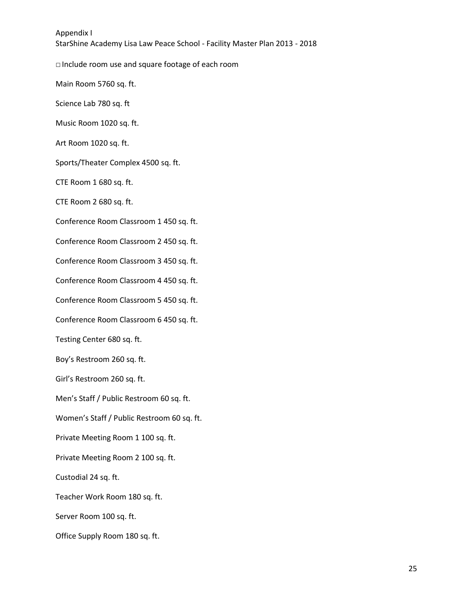□ Include room use and square footage of each room

Main Room 5760 sq. ft.

Science Lab 780 sq. ft

Music Room 1020 sq. ft.

Art Room 1020 sq. ft.

Sports/Theater Complex 4500 sq. ft.

CTE Room 1 680 sq. ft.

CTE Room 2 680 sq. ft.

Conference Room Classroom 1 450 sq. ft.

Conference Room Classroom 2 450 sq. ft.

Conference Room Classroom 3 450 sq. ft.

Conference Room Classroom 4 450 sq. ft.

Conference Room Classroom 5 450 sq. ft.

Conference Room Classroom 6 450 sq. ft.

Testing Center 680 sq. ft.

Boy's Restroom 260 sq. ft.

Girl's Restroom 260 sq. ft.

Men's Staff / Public Restroom 60 sq. ft.

Women's Staff / Public Restroom 60 sq. ft.

Private Meeting Room 1 100 sq. ft.

Private Meeting Room 2 100 sq. ft.

Custodial 24 sq. ft.

Teacher Work Room 180 sq. ft.

Server Room 100 sq. ft.

Office Supply Room 180 sq. ft.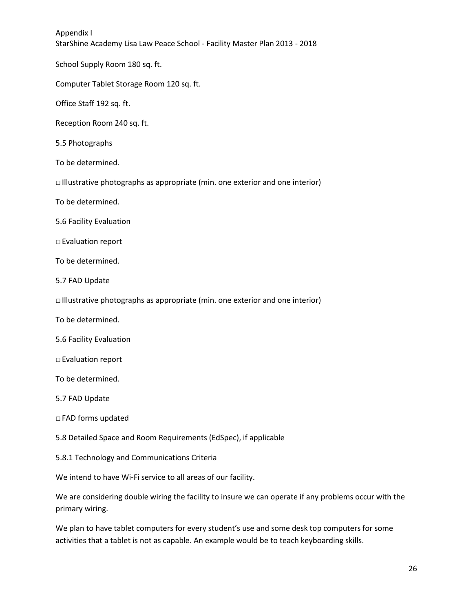School Supply Room 180 sq. ft.

Computer Tablet Storage Room 120 sq. ft.

Office Staff 192 sq. ft.

Reception Room 240 sq. ft.

5.5 Photographs

To be determined.

□ Illustrative photographs as appropriate (min. one exterior and one interior)

To be determined.

5.6 Facility Evaluation

□ Evaluation report

To be determined.

5.7 FAD Update

□ Illustrative photographs as appropriate (min. one exterior and one interior)

To be determined.

5.6 Facility Evaluation

□ Evaluation report

To be determined.

5.7 FAD Update

□ FAD forms updated

5.8 Detailed Space and Room Requirements (EdSpec), if applicable

5.8.1 Technology and Communications Criteria

We intend to have Wi-Fi service to all areas of our facility.

We are considering double wiring the facility to insure we can operate if any problems occur with the primary wiring.

We plan to have tablet computers for every student's use and some desk top computers for some activities that a tablet is not as capable. An example would be to teach keyboarding skills.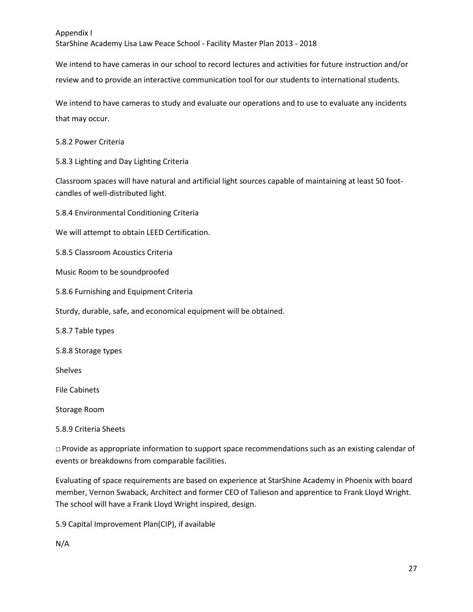We intend to have cameras in our school to record lectures and activities for future instruction and/or review and to provide an interactive communication tool for our students to international students.

We intend to have cameras to study and evaluate our operations and to use to evaluate any incidents that may occur.

# 5.8.2 Power Criteria

5.8.3 Lighting and Day Lighting Criteria

Classroom spaces will have natural and artificial light sources capable of maintaining at least 50 footcandles of well-distributed light.

5.8.4 Environmental Conditioning Criteria

We will attempt to obtain LEED Certification.

5.8.5 Classroom Acoustics Criteria

Music Room to be soundproofed

5.8.6 Furnishing and Equipment Criteria

Sturdy, durable, safe, and economical equipment will be obtained.

5.8.7 Table types

5.8.8 Storage types

Shelves

File Cabinets

Storage Room

# 5.8.9 Criteria Sheets

 $\Box$  Provide as appropriate information to support space recommendations such as an existing calendar of events or breakdowns from comparable facilities.

Evaluating of space requirements are based on experience at StarShine Academy in Phoenix with board member, Vernon Swaback, Architect and former CEO of Talieson and apprentice to Frank Lloyd Wright. The school will have a Frank Lloyd Wright inspired, design.

5.9 Capital Improvement Plan(CIP), if available

# N/A